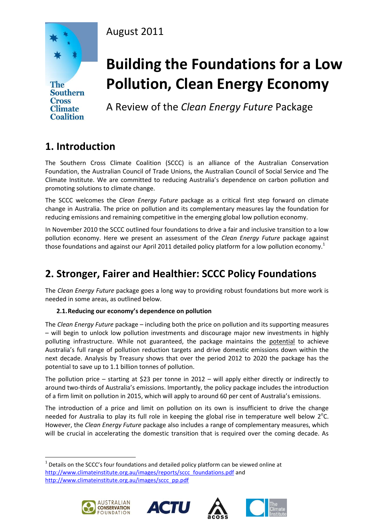### August 2011



**Cross Climate Coalition** 

# **Building the Foundations for a Low Pollution, Clean Energy Economy**

A Review of the *Clean Energy Future* Package

# **1. Introduction**

The Southern Cross Climate Coalition (SCCC) is an alliance of the Australian Conservation Foundation, the Australian Council of Trade Unions, the Australian Council of Social Service and The Climate Institute. We are committed to reducing Australia's dependence on carbon pollution and promoting solutions to climate change.

The SCCC welcomes the *Clean Energy Future* package as a critical first step forward on climate change in Australia. The price on pollution and its complementary measures lay the foundation for reducing emissions and remaining competitive in the emerging global low pollution economy.

In November 2010 the SCCC outlined four foundations to drive a fair and inclusive transition to a low pollution economy. Here we present an assessment of the *Clean Energy Future* package against those foundations and against our April 2011 detailed policy platform for a low pollution economy.<sup>1</sup>

## **2. Stronger, Fairer and Healthier: SCCC Policy Foundations**

The *Clean Energy Future* package goes a long way to providing robust foundations but more work is needed in some areas, as outlined below.

### **2.1.Reducing our economy's dependence on pollution**

The *Clean Energy Future* package – including both the price on pollution and its supporting measures – will begin to unlock low pollution investments and discourage major new investments in highly polluting infrastructure. While not guaranteed, the package maintains the potential to achieve Australia's full range of pollution reduction targets and drive domestic emissions down within the next decade. Analysis by Treasury shows that over the period 2012 to 2020 the package has the potential to save up to 1.1 billion tonnes of pollution.

The pollution price – starting at \$23 per tonne in 2012 – will apply either directly or indirectly to around two-thirds of Australia's emissions. Importantly, the policy package includes the introduction of a firm limit on pollution in 2015, which will apply to around 60 per cent of Australia's emissions.

The introduction of a price and limit on pollution on its own is insufficient to drive the change needed for Australia to play its full role in keeping the global rise in temperature well below 2°C. However, the *Clean Energy Future* package also includes a range of complementary measures, which will be crucial in accelerating the domestic transition that is required over the coming decade. As

 $1$  Details on the SCCC's four foundations and detailed policy platform can be viewed online at [http://www.climateinstitute.org.au/images/reports/sccc\\_foundations.pdf](http://www.climateinstitute.org.au/images/reports/sccc_foundations.pdf) and [http://www.climateinstitute.org.au/images/sccc\\_pp.pdf](http://www.climateinstitute.org.au/images/sccc_pp.pdf)



**.** 





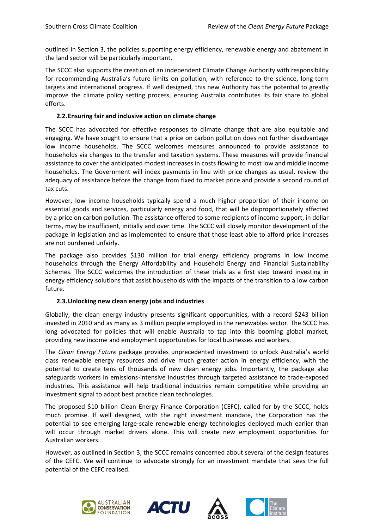outlined in Section 3, the policies supporting energy efficiency, renewable energy and abatement in the land sector will be particularly important.

The SCCC also supports the creation of an independent Climate Change Authority with responsibility for recommending Australia's future limits on pollution, with reference to the science, long-term targets and international progress. If well designed, this new Authority has the potential to greatly improve the climate policy setting process, ensuring Australia contributes its fair share to global efforts.

#### **2.2.Ensuring fair and inclusive action on climate change**

The SCCC has advocated for effective responses to climate change that are also equitable and engaging. We have sought to ensure that a price on carbon pollution does not further disadvantage low income households. The SCCC welcomes measures announced to provide assistance to households via changes to the transfer and taxation systems. These measures will provide financial assistance to cover the anticipated modest increases in costs flowing to most low and middle income households. The Government will index payments in line with price changes as usual, review the adequacy of assistance before the change from fixed to market price and provide a second round of tax cuts.

However, low income households typically spend a much higher proportion of their income on essential goods and services, particularly energy and food, that will be disproportionately affected by a price on carbon pollution. The assistance offered to some recipients of income support, in dollar terms, may be insufficient, initially and over time. The SCCC will closely monitor development of the package in legislation and as implemented to ensure that those least able to afford price increases are not burdened unfairly.

The package also provides \$130 million for trial energy efficiency programs in low income households through the Energy Affordability and Household Energy and Financial Sustainability Schemes. The SCCC welcomes the introduction of these trials as a first step toward investing in energy efficiency solutions that assist households with the impacts of the transition to a low carbon future.

#### **2.3.Unlocking new clean energy jobs and industries**

Globally, the clean energy industry presents significant opportunities, with a record \$243 billion invested in 2010 and as many as 3 million people employed in the renewables sector. The SCCC has long advocated for policies that will enable Australia to tap into this booming global market, providing new income and employment opportunities for local businesses and workers.

The *Clean Energy Future* package provides unprecedented investment to unlock Australia's world class renewable energy resources and drive much greater action in energy efficiency, with the potential to create tens of thousands of new clean energy jobs. Importantly, the package also safeguards workers in emissions-intensive industries through targeted assistance to trade-exposed industries. This assistance will help traditional industries remain competitive while providing an investment signal to adopt best practice clean technologies.

The proposed \$10 billion Clean Energy Finance Corporation (CEFC), called for by the SCCC, holds much promise. If well designed, with the right investment mandate, the Corporation has the potential to see emerging large-scale renewable energy technologies deployed much earlier than will occur through market drivers alone. This will create new employment opportunities for Australian workers.

However, as outlined in Section 3, the SCCC remains concerned about several of the design features of the CEFC. We will continue to advocate strongly for an investment mandate that sees the full potential of the CEFC realised.







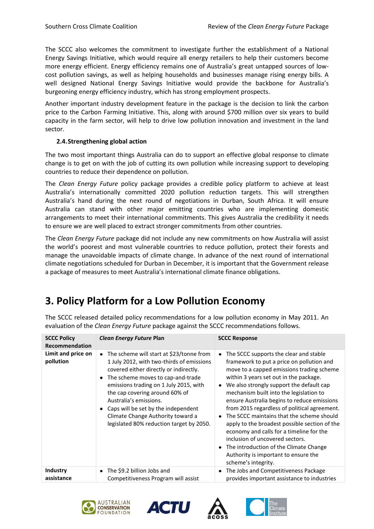The SCCC also welcomes the commitment to investigate further the establishment of a National Energy Savings Initiative, which would require all energy retailers to help their customers become more energy efficient. Energy efficiency remains one of Australia's great untapped sources of lowcost pollution savings, as well as helping households and businesses manage rising energy bills. A well designed National Energy Savings Initiative would provide the backbone for Australia's burgeoning energy efficiency industry, which has strong employment prospects.

Another important industry development feature in the package is the decision to link the carbon price to the Carbon Farming Initiative. This, along with around \$700 million over six years to build capacity in the farm sector, will help to drive low pollution innovation and investment in the land sector.

### **2.4.Strengthening global action**

The two most important things Australia can do to support an effective global response to climate change is to get on with the job of cutting its own pollution while increasing support to developing countries to reduce their dependence on pollution.

The *Clean Energy Future* policy package provides a credible policy platform to achieve at least Australia's internationally committed 2020 pollution reduction targets. This will strengthen Australia's hand during the next round of negotiations in Durban, South Africa. It will ensure Australia can stand with other major emitting countries who are implementing domestic arrangements to meet their international commitments. This gives Australia the credibility it needs to ensure we are well placed to extract stronger commitments from other countries.

The *Clean Energy Future* package did not include any new commitments on how Australia will assist the world's poorest and most vulnerable countries to reduce pollution, protect their forests and manage the unavoidable impacts of climate change. In advance of the next round of international climate negotiations scheduled for Durban in December, it is important that the Government release a package of measures to meet Australia's international climate finance obligations.

## **3. Policy Platform for a Low Pollution Economy**

| <b>SCCC Policy</b><br>Recommendation | Clean Energy Future Plan                                                                                                                                                                                                                                                                                                                                                                                     | <b>SCCC Response</b>                                                                                                                                                                                                                                                                                                                                                                                                                                                                                                                                                                                                                                                |
|--------------------------------------|--------------------------------------------------------------------------------------------------------------------------------------------------------------------------------------------------------------------------------------------------------------------------------------------------------------------------------------------------------------------------------------------------------------|---------------------------------------------------------------------------------------------------------------------------------------------------------------------------------------------------------------------------------------------------------------------------------------------------------------------------------------------------------------------------------------------------------------------------------------------------------------------------------------------------------------------------------------------------------------------------------------------------------------------------------------------------------------------|
| Limit and price on<br>pollution      | The scheme will start at \$23/tonne from<br>٠<br>1 July 2012, with two-thirds of emissions<br>covered either directly or indirectly.<br>The scheme moves to cap-and-trade<br>٠<br>emissions trading on 1 July 2015, with<br>the cap covering around 60% of<br>Australia's emissions.<br>Caps will be set by the independent<br>Climate Change Authority toward a<br>legislated 80% reduction target by 2050. | The SCCC supports the clear and stable<br>framework to put a price on pollution and<br>move to a capped emissions trading scheme<br>within 3 years set out in the package.<br>We also strongly support the default cap<br>$\bullet$<br>mechanism built into the legislation to<br>ensure Australia begins to reduce emissions<br>from 2015 regardless of political agreement.<br>The SCCC maintains that the scheme should<br>apply to the broadest possible section of the<br>economy and calls for a timeline for the<br>inclusion of uncovered sectors.<br>The introduction of the Climate Change<br>Authority is important to ensure the<br>scheme's integrity. |
| Industry<br>assistance               | The \$9.2 billion Jobs and<br>٠<br>Competitiveness Program will assist                                                                                                                                                                                                                                                                                                                                       | The Jobs and Competitiveness Package<br>provides important assistance to industries                                                                                                                                                                                                                                                                                                                                                                                                                                                                                                                                                                                 |

The SCCC released detailed policy recommendations for a low pollution economy in May 2011. An evaluation of the *Clean Energy Future* package against the SCCC recommendations follows.







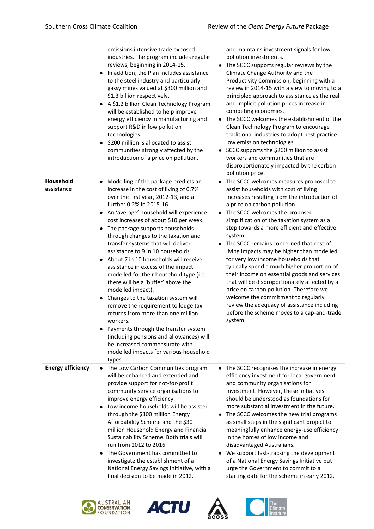|                          | emissions intensive trade exposed<br>industries. The program includes regular<br>reviews, beginning in 2014-15.<br>In addition, the Plan includes assistance<br>to the steel industry and particularly<br>gassy mines valued at \$300 million and<br>\$1.3 billion respectively.<br>A \$1.2 billion Clean Technology Program<br>will be established to help improve<br>energy efficiency in manufacturing and<br>support R&D in low pollution<br>technologies.<br>\$200 million is allocated to assist<br>communities strongly affected by the<br>introduction of a price on pollution.                                                                                                                                                                                                                                                                                                   | and maintains investment signals for low<br>pollution investments.<br>The SCCC supports regular reviews by the<br>$\bullet$<br>Climate Change Authority and the<br>Productivity Commission, beginning with a<br>review in 2014-15 with a view to moving to a<br>principled approach to assistance as the real<br>and implicit pollution prices increase in<br>competing economies.<br>The SCCC welcomes the establishment of the<br>$\bullet$<br>Clean Technology Program to encourage<br>traditional industries to adopt best practice<br>low emission technologies.<br>SCCC supports the \$200 million to assist<br>$\bullet$<br>workers and communities that are<br>disproportionately impacted by the carbon<br>pollution price.                                                                            |
|--------------------------|-------------------------------------------------------------------------------------------------------------------------------------------------------------------------------------------------------------------------------------------------------------------------------------------------------------------------------------------------------------------------------------------------------------------------------------------------------------------------------------------------------------------------------------------------------------------------------------------------------------------------------------------------------------------------------------------------------------------------------------------------------------------------------------------------------------------------------------------------------------------------------------------|-----------------------------------------------------------------------------------------------------------------------------------------------------------------------------------------------------------------------------------------------------------------------------------------------------------------------------------------------------------------------------------------------------------------------------------------------------------------------------------------------------------------------------------------------------------------------------------------------------------------------------------------------------------------------------------------------------------------------------------------------------------------------------------------------------------------|
| Household<br>assistance  | Modelling of the package predicts an<br>increase in the cost of living of 0.7%<br>over the first year, 2012-13, and a<br>further 0.2% in 2015-16.<br>An 'average' household will experience<br>cost increases of about \$10 per week.<br>The package supports households<br>through changes to the taxation and<br>transfer systems that will deliver<br>assistance to 9 in 10 households.<br>About 7 in 10 households will receive<br>assistance in excess of the impact<br>modelled for their household type (i.e.<br>there will be a 'buffer' above the<br>modelled impact).<br>Changes to the taxation system will<br>remove the requirement to lodge tax<br>returns from more than one million<br>workers.<br>Payments through the transfer system<br>(including pensions and allowances) will<br>be increased commensurate with<br>modelled impacts for various household<br>types. | The SCCC welcomes measures proposed to<br>$\bullet$<br>assist households with cost of living<br>increases resulting from the introduction of<br>a price on carbon pollution.<br>• The SCCC welcomes the proposed<br>simplification of the taxation system as a<br>step towards a more efficient and effective<br>system.<br>The SCCC remains concerned that cost of<br>$\bullet$<br>living impacts may be higher than modelled<br>for very low income households that<br>typically spend a much higher proportion of<br>their income on essential goods and services<br>that will be disproportionately affected by a<br>price on carbon pollution. Therefore we<br>welcome the commitment to regularly<br>review the adequacy of assistance including<br>before the scheme moves to a cap-and-trade<br>system. |
| <b>Energy efficiency</b> | The Low Carbon Communities program<br>will be enhanced and extended and<br>provide support for not-for-profit<br>community service organisations to<br>improve energy efficiency.<br>Low income households will be assisted<br>through the \$100 million Energy<br>Affordability Scheme and the \$30<br>million Household Energy and Financial<br>Sustainability Scheme. Both trials will<br>run from 2012 to 2016.<br>The Government has committed to<br>investigate the establishment of a<br>National Energy Savings Initiative, with a<br>final decision to be made in 2012.                                                                                                                                                                                                                                                                                                          | The SCCC recognises the increase in energy<br>efficiency investment for local government<br>and community organisations for<br>investment. However, these initiatives<br>should be understood as foundations for<br>more substantial investment in the future.<br>The SCCC welcomes the new trial programs<br>$\bullet$<br>as small steps in the significant project to<br>meaningfully enhance energy-use efficiency<br>in the homes of low income and<br>disadvantaged Australians.<br>We support fast-tracking the development<br>of a National Energy Savings Initiative but<br>urge the Government to commit to a<br>starting date for the scheme in early 2012.                                                                                                                                           |